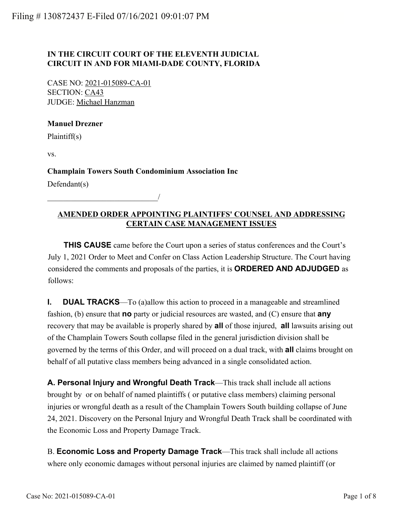## **IN THE CIRCUIT COURT OF THE ELEVENTH JUDICIAL CIRCUIT IN AND FOR MIAMI-DADE COUNTY, FLORIDA**

CASE NO: 2021-015089-CA-01 SECTION: CA43 JUDGE: Michael Hanzman

\_\_\_\_\_\_\_\_\_\_\_\_\_\_\_\_\_\_\_\_\_\_\_\_\_\_\_\_/

#### **Manuel Drezner**

Plaintiff(s)

vs.

**Champlain Towers South Condominium Association Inc**

Defendant(s)

## **AMENDED ORDER APPOINTING PLAINTIFFS' COUNSEL AND ADDRESSING CERTAIN CASE MANAGEMENT ISSUES**

 **THIS CAUSE** came before the Court upon a series of status conferences and the Court's July 1, 2021 Order to Meet and Confer on Class Action Leadership Structure. The Court having considered the comments and proposals of the parties, it is **ORDERED AND ADJUDGED** as follows:

**I. DUAL TRACKS**—To (a)allow this action to proceed in a manageable and streamlined fashion, (b) ensure that **no** party or judicial resources are wasted, and (C) ensure that **any** recovery that may be available is properly shared by **all** of those injured, **all** lawsuits arising out of the Champlain Towers South collapse filed in the general jurisdiction division shall be governed by the terms of this Order, and will proceed on a dual track, with **all** claims brought on behalf of all putative class members being advanced in a single consolidated action.

**A. Personal Injury and Wrongful Death Track**—This track shall include all actions brought by or on behalf of named plaintiffs ( or putative class members) claiming personal injuries or wrongful death as a result of the Champlain Towers South building collapse of June 24, 2021. Discovery on the Personal Injury and Wrongful Death Track shall be coordinated with the Economic Loss and Property Damage Track.

B. **Economic Loss and Property Damage Track**—This track shall include all actions where only economic damages without personal injuries are claimed by named plaintiff (or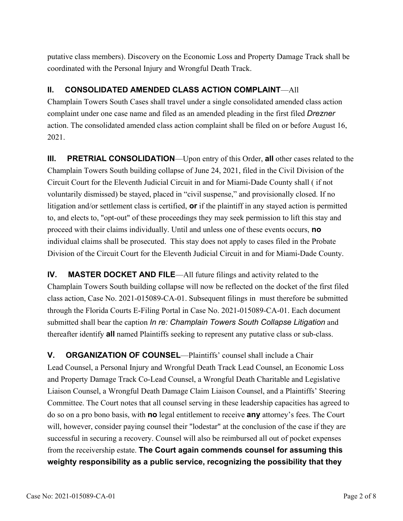putative class members). Discovery on the Economic Loss and Property Damage Track shall be coordinated with the Personal Injury and Wrongful Death Track.

# **II. CONSOLIDATED AMENDED CLASS ACTION COMPLAINT**—All

Champlain Towers South Cases shall travel under a single consolidated amended class action complaint under one case name and filed as an amended pleading in the first filed *Drezner* action. The consolidated amended class action complaint shall be filed on or before August 16, 2021.

**III.** PRETRIAL CONSOLIDATION—Upon entry of this Order, all other cases related to the Champlain Towers South building collapse of June 24, 2021, filed in the Civil Division of the Circuit Court for the Eleventh Judicial Circuit in and for Miami-Dade County shall ( if not voluntarily dismissed) be stayed, placed in "civil suspense," and provisionally closed. If no litigation and/or settlement class is certified, **or** if the plaintiff in any stayed action is permitted to, and elects to, "opt-out" of these proceedings they may seek permission to lift this stay and proceed with their claims individually. Until and unless one of these events occurs, **no** individual claims shall be prosecuted. This stay does not apply to cases filed in the Probate Division of the Circuit Court for the Eleventh Judicial Circuit in and for Miami-Dade County.

**IV.** MASTER DOCKET AND FILE—All future filings and activity related to the Champlain Towers South building collapse will now be reflected on the docket of the first filed class action, Case No. 2021-015089-CA-01. Subsequent filings in must therefore be submitted through the Florida Courts E-Filing Portal in Case No. 2021-015089-CA-01. Each document submitted shall bear the caption *In re: Champlain Towers South Collapse Litigation* and thereafter identify **all** named Plaintiffs seeking to represent any putative class or sub-class.

**V.** ORGANIZATION OF COUNSEL—Plaintiffs' counsel shall include a Chair Lead Counsel, a Personal Injury and Wrongful Death Track Lead Counsel, an Economic Loss and Property Damage Track Co-Lead Counsel, a Wrongful Death Charitable and Legislative Liaison Counsel, a Wrongful Death Damage Claim Liaison Counsel, and a Plaintiffs' Steering Committee. The Court notes that all counsel serving in these leadership capacities has agreed to do so on a pro bono basis, with **no** legal entitlement to receive **any** attorney's fees. The Court will, however, consider paying counsel their "lodestar" at the conclusion of the case if they are successful in securing a recovery. Counsel will also be reimbursed all out of pocket expenses from the receivership estate. **The Court again commends counsel for assuming this weighty responsibility as a public service, recognizing the possibility that they**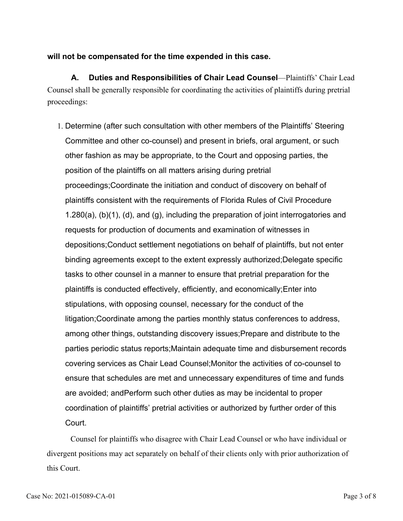## **will not be compensated for the time expended in this case.**

**A. Duties and Responsibilities of Chair Lead Counsel**—Plaintiffs' Chair Lead Counsel shall be generally responsible for coordinating the activities of plaintiffs during pretrial proceedings:

1. Determine (after such consultation with other members of the Plaintiffs' Steering Committee and other co-counsel) and present in briefs, oral argument, or such other fashion as may be appropriate, to the Court and opposing parties, the position of the plaintiffs on all matters arising during pretrial proceedings;Coordinate the initiation and conduct of discovery on behalf of plaintiffs consistent with the requirements of Florida Rules of Civil Procedure 1.280(a), (b)(1), (d), and (g), including the preparation of joint interrogatories and requests for production of documents and examination of witnesses in depositions;Conduct settlement negotiations on behalf of plaintiffs, but not enter binding agreements except to the extent expressly authorized;Delegate specific tasks to other counsel in a manner to ensure that pretrial preparation for the plaintiffs is conducted effectively, efficiently, and economically;Enter into stipulations, with opposing counsel, necessary for the conduct of the litigation;Coordinate among the parties monthly status conferences to address, among other things, outstanding discovery issues;Prepare and distribute to the parties periodic status reports;Maintain adequate time and disbursement records covering services as Chair Lead Counsel;Monitor the activities of co-counsel to ensure that schedules are met and unnecessary expenditures of time and funds are avoided; andPerform such other duties as may be incidental to proper coordination of plaintiffs' pretrial activities or authorized by further order of this Court.

Counsel for plaintiffs who disagree with Chair Lead Counsel or who have individual or divergent positions may act separately on behalf of their clients only with prior authorization of this Court.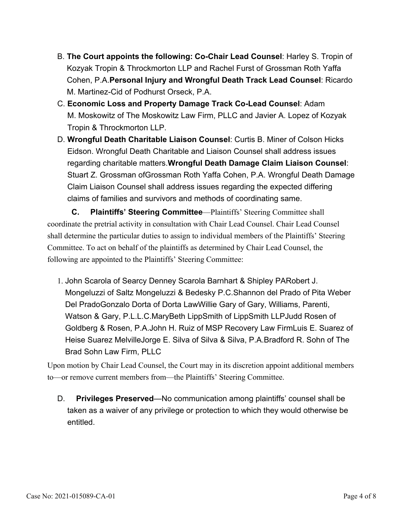- **The Court appoints the following: Co-Chair Lead Counsel**: Harley S. Tropin of B. Kozyak Tropin & Throckmorton LLP and Rachel Furst of Grossman Roth Yaffa Cohen, P.A.**Personal Injury and Wrongful Death Track Lead Counsel**: Ricardo M. Martinez-Cid of Podhurst Orseck, P.A.
- **Economic Loss and Property Damage Track Co-Lead Counsel**: Adam C. M. Moskowitz of The Moskowitz Law Firm, PLLC and Javier A. Lopez of Kozyak Tropin & Throckmorton LLP.
- **Wrongful Death Charitable Liaison Counsel**: Curtis B. Miner of Colson Hicks D. Eidson. Wrongful Death Charitable and Liaison Counsel shall address issues regarding charitable matters.**Wrongful Death Damage Claim Liaison Counsel**: Stuart Z. Grossman ofGrossman Roth Yaffa Cohen, P.A. Wrongful Death Damage Claim Liaison Counsel shall address issues regarding the expected differing claims of families and survivors and methods of coordinating same.

 **C. Plaintiffs' Steering Committee**—Plaintiffs' Steering Committee shall coordinate the pretrial activity in consultation with Chair Lead Counsel. Chair Lead Counsel shall determine the particular duties to assign to individual members of the Plaintiffs' Steering Committee. To act on behalf of the plaintiffs as determined by Chair Lead Counsel, the following are appointed to the Plaintiffs' Steering Committee:

1. John Scarola of Searcy Denney Scarola Barnhart & Shipley PARobert J. Mongeluzzi of Saltz Mongeluzzi & Bedesky P.C.Shannon del Prado of Pita Weber Del PradoGonzalo Dorta of Dorta LawWillie Gary of Gary, Williams, Parenti, Watson & Gary, P.L.L.C.MaryBeth LippSmith of LippSmith LLPJudd Rosen of Goldberg & Rosen, P.A.John H. Ruiz of MSP Recovery Law FirmLuis E. Suarez of Heise Suarez MelvilleJorge E. Silva of Silva & Silva, P.A.Bradford R. Sohn of The Brad Sohn Law Firm, PLLC

Upon motion by Chair Lead Counsel, the Court may in its discretion appoint additional members to—or remove current members from—the Plaintiffs' Steering Committee.

 **Privileges Preserved**—No communication among plaintiffs' counsel shall be taken as a waiver of any privilege or protection to which they would otherwise be entitled. D.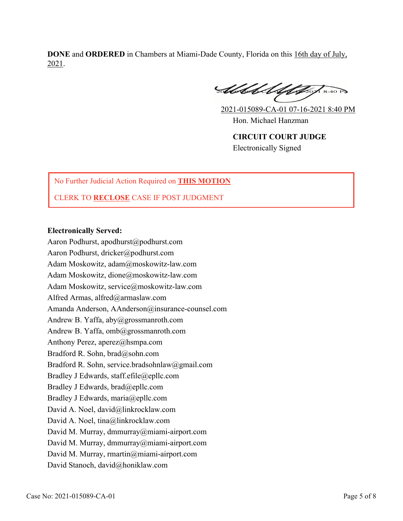**DONE** and **ORDERED** in Chambers at Miami-Dade County, Florida on this 16th day of July, 2021.

Abbel Ulifo 1 8:40 P

2021-015089-CA-01 07-16-2021 8:40 PM Hon. Michael Hanzman **CIRCUIT COURT JUDGE**

Electronically Signed

## No Further Judicial Action Required on **THIS MOTION**

### CLERK TO **RECLOSE** CASE IF POST JUDGMENT

#### **Electronically Served:**

Aaron Podhurst, apodhurst@podhurst.com Aaron Podhurst, dricker@podhurst.com Adam Moskowitz, adam@moskowitz-law.com Adam Moskowitz, dione@moskowitz-law.com Adam Moskowitz, service@moskowitz-law.com Alfred Armas, alfred@armaslaw.com Amanda Anderson, AAnderson@insurance-counsel.com Andrew B. Yaffa, aby@grossmanroth.com Andrew B. Yaffa, omb@grossmanroth.com Anthony Perez, aperez@hsmpa.com Bradford R. Sohn, brad@sohn.com Bradford R. Sohn, service.bradsohnlaw@gmail.com Bradley J Edwards, staff.efile@epllc.com Bradley J Edwards, brad@epllc.com Bradley J Edwards, maria@epllc.com David A. Noel, david@linkrocklaw.com David A. Noel, tina@linkrocklaw.com David M. Murray, dmmurray@miami-airport.com David M. Murray, dmmurray@miami-airport.com David M. Murray, rmartin@miami-airport.com David Stanoch, david@honiklaw.com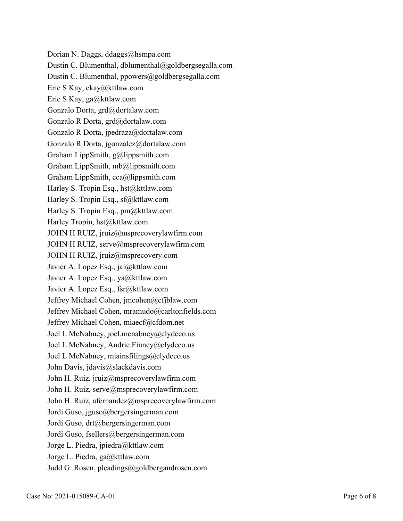Dorian N. Daggs, ddaggs@hsmpa.com Dustin C. Blumenthal, dblumenthal@goldbergsegalla.com Dustin C. Blumenthal, ppowers@goldbergsegalla.com Eric S Kay, ekay@kttlaw.com Eric S Kay, ga@kttlaw.com Gonzalo Dorta, grd@dortalaw.com Gonzalo R Dorta, grd@dortalaw.com Gonzalo R Dorta, jpedraza@dortalaw.com Gonzalo R Dorta, jgonzalez@dortalaw.com Graham LippSmith, g@lippsmith.com Graham LippSmith, mb@lippsmith.com Graham LippSmith, cca@lippsmith.com Harley S. Tropin Esq., hst@kttlaw.com Harley S. Tropin Esq., sf@kttlaw.com Harley S. Tropin Esq., pm@kttlaw.com Harley Tropin, hst@kttlaw.com JOHN H RUIZ, jruiz@msprecoverylawfirm.com JOHN H RUIZ, serve@msprecoverylawfirm.com JOHN H RUIZ, jruiz@msprecovery.com Javier A. Lopez Esq., jal@kttlaw.com Javier A. Lopez Esq., ya@kttlaw.com Javier A. Lopez Esq., fsr@kttlaw.com Jeffrey Michael Cohen, jmcohen@cfjblaw.com Jeffrey Michael Cohen, mramudo@carltonfields.com Jeffrey Michael Cohen, miaecf@cfdom.net Joel L McNabney, joel.mcnabney@clydeco.us Joel L McNabney, Audrie.Finney@clydeco.us Joel L McNabney, miainsfilings@clydeco.us John Davis, jdavis@slackdavis.com John H. Ruiz, jruiz@msprecoverylawfirm.com John H. Ruiz, serve@msprecoverylawfirm.com John H. Ruiz, afernandez@msprecoverylawfirm.com Jordi Guso, jguso@bergersingerman.com Jordi Guso, drt@bergersingerman.com Jordi Guso, fsellers@bergersingerman.com Jorge L. Piedra, jpiedra@kttlaw.com Jorge L. Piedra, ga@kttlaw.com Judd G. Rosen, pleadings@goldbergandrosen.com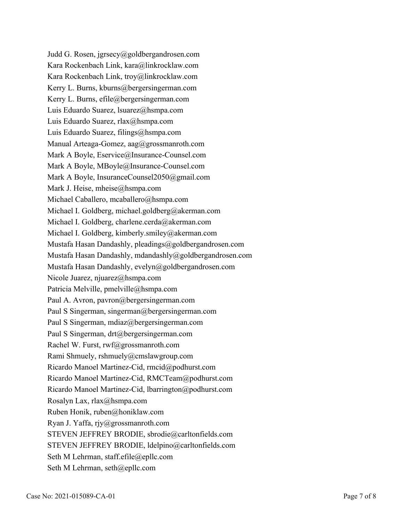Judd G. Rosen, jgrsecy@goldbergandrosen.com Kara Rockenbach Link, kara@linkrocklaw.com Kara Rockenbach Link, troy@linkrocklaw.com Kerry L. Burns, kburns@bergersingerman.com Kerry L. Burns, efile@bergersingerman.com Luis Eduardo Suarez, lsuarez@hsmpa.com Luis Eduardo Suarez, rlax@hsmpa.com Luis Eduardo Suarez, filings@hsmpa.com Manual Arteaga-Gomez, aag@grossmanroth.com Mark A Boyle, Eservice@Insurance-Counsel.com Mark A Boyle, MBoyle@Insurance-Counsel.com Mark A Boyle, InsuranceCounsel2050@gmail.com Mark J. Heise, mheise@hsmpa.com Michael Caballero, mcaballero@hsmpa.com Michael I. Goldberg, michael.goldberg@akerman.com Michael I. Goldberg, charlene.cerda@akerman.com Michael I. Goldberg, kimberly.smiley@akerman.com Mustafa Hasan Dandashly, pleadings@goldbergandrosen.com Mustafa Hasan Dandashly, mdandashly@goldbergandrosen.com Mustafa Hasan Dandashly, evelyn@goldbergandrosen.com Nicole Juarez, njuarez@hsmpa.com Patricia Melville, pmelville@hsmpa.com Paul A. Avron, pavron@bergersingerman.com Paul S Singerman, singerman@bergersingerman.com Paul S Singerman, mdiaz@bergersingerman.com Paul S Singerman, drt@bergersingerman.com Rachel W. Furst, rwf@grossmanroth.com Rami Shmuely, rshmuely@cmslawgroup.com Ricardo Manoel Martinez-Cid, rmcid@podhurst.com Ricardo Manoel Martinez-Cid, RMCTeam@podhurst.com Ricardo Manoel Martinez-Cid, lbarrington@podhurst.com Rosalyn Lax, rlax@hsmpa.com Ruben Honik, ruben@honiklaw.com Ryan J. Yaffa, rjy@grossmanroth.com STEVEN JEFFREY BRODIE, sbrodie@carltonfields.com STEVEN JEFFREY BRODIE, ldelpino@carltonfields.com Seth M Lehrman, staff.efile@epllc.com Seth M Lehrman, seth@epllc.com